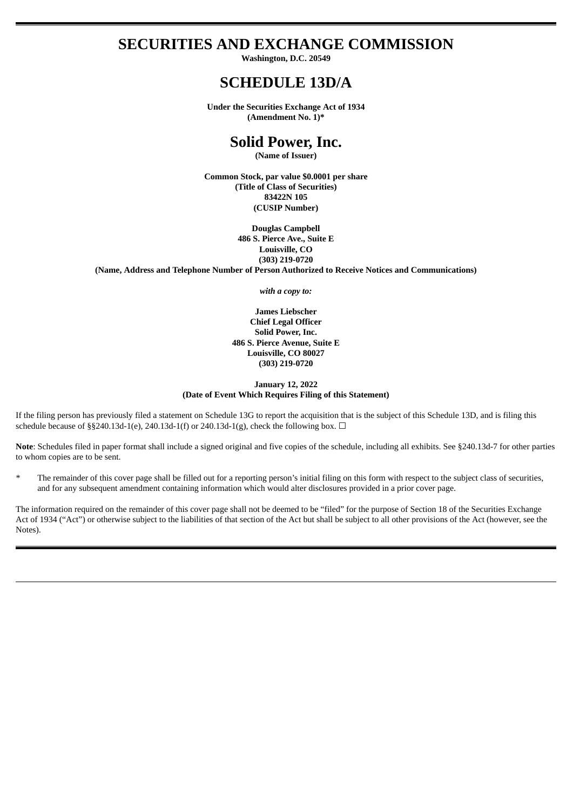## **SECURITIES AND EXCHANGE COMMISSION**

**Washington, D.C. 20549**

# **SCHEDULE 13D/A**

**Under the Securities Exchange Act of 1934 (Amendment No. 1)\***

## **Solid Power, Inc.**

**(Name of Issuer)**

**Common Stock, par value \$0.0001 per share (Title of Class of Securities) 83422N 105 (CUSIP Number)**

**Douglas Campbell 486 S. Pierce Ave., Suite E Louisville, CO (303) 219-0720 (Name, Address and Telephone Number of Person Authorized to Receive Notices and Communications)**

*with a copy to:*

**James Liebscher Chief Legal Officer Solid Power, Inc. 486 S. Pierce Avenue, Suite E Louisville, CO 80027 (303) 219-0720**

#### **January 12, 2022 (Date of Event Which Requires Filing of this Statement)**

If the filing person has previously filed a statement on Schedule 13G to report the acquisition that is the subject of this Schedule 13D, and is filing this schedule because of §§240.13d-1(e), 240.13d-1(f) or 240.13d-1(g), check the following box.  $\Box$ 

**Note**: Schedules filed in paper format shall include a signed original and five copies of the schedule, including all exhibits. See §240.13d-7 for other parties to whom copies are to be sent.

The remainder of this cover page shall be filled out for a reporting person's initial filing on this form with respect to the subject class of securities, and for any subsequent amendment containing information which would alter disclosures provided in a prior cover page.

The information required on the remainder of this cover page shall not be deemed to be "filed" for the purpose of Section 18 of the Securities Exchange Act of 1934 ("Act") or otherwise subject to the liabilities of that section of the Act but shall be subject to all other provisions of the Act (however, see the Notes).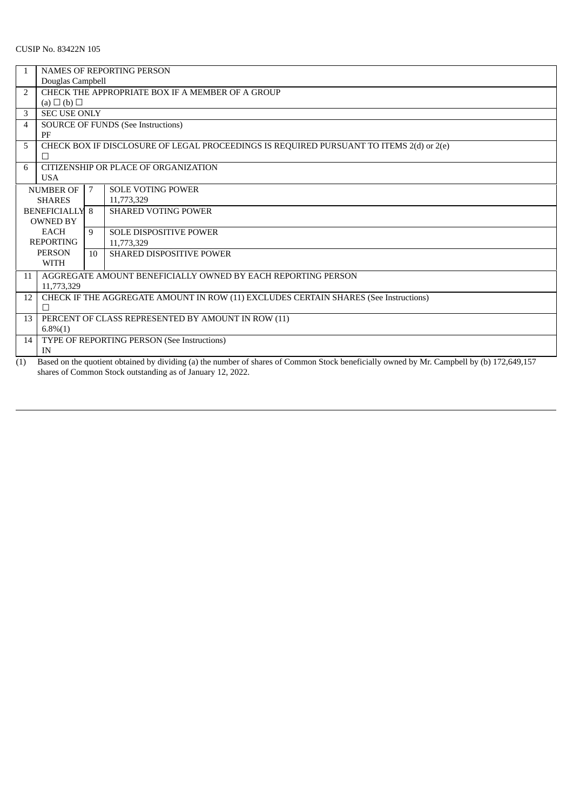### CUSIP No. 83422N 105

|                | <b>NAMES OF REPORTING PERSON</b>                                                                                                          |    |                                 |
|----------------|-------------------------------------------------------------------------------------------------------------------------------------------|----|---------------------------------|
|                | Douglas Campbell                                                                                                                          |    |                                 |
| $\overline{2}$ | CHECK THE APPROPRIATE BOX IF A MEMBER OF A GROUP                                                                                          |    |                                 |
|                | $(a) \Box (b) \Box$                                                                                                                       |    |                                 |
| 3              | <b>SEC USE ONLY</b>                                                                                                                       |    |                                 |
| 4              | <b>SOURCE OF FUNDS (See Instructions)</b>                                                                                                 |    |                                 |
|                | PF                                                                                                                                        |    |                                 |
| 5              | CHECK BOX IF DISCLOSURE OF LEGAL PROCEEDINGS IS REQUIRED PURSUANT TO ITEMS 2(d) or 2(e)                                                   |    |                                 |
|                | П                                                                                                                                         |    |                                 |
| 6              | CITIZENSHIP OR PLACE OF ORGANIZATION                                                                                                      |    |                                 |
|                | <b>USA</b>                                                                                                                                |    |                                 |
|                | <b>NUMBER OF</b>                                                                                                                          | 7  | <b>SOLE VOTING POWER</b>        |
|                | <b>SHARES</b>                                                                                                                             |    | 11,773,329                      |
|                | <b>BENEFICIALLY 8</b>                                                                                                                     |    | <b>SHARED VOTING POWER</b>      |
|                | <b>OWNED BY</b>                                                                                                                           |    |                                 |
|                | EACH                                                                                                                                      | 9  | <b>SOLE DISPOSITIVE POWER</b>   |
|                | <b>REPORTING</b>                                                                                                                          |    | 11,773,329                      |
|                | <b>PERSON</b>                                                                                                                             | 10 | <b>SHARED DISPOSITIVE POWER</b> |
|                | <b>WITH</b>                                                                                                                               |    |                                 |
| 11             | AGGREGATE AMOUNT BENEFICIALLY OWNED BY EACH REPORTING PERSON                                                                              |    |                                 |
|                | 11,773,329                                                                                                                                |    |                                 |
| 12             | CHECK IF THE AGGREGATE AMOUNT IN ROW (11) EXCLUDES CERTAIN SHARES (See Instructions)                                                      |    |                                 |
|                | п                                                                                                                                         |    |                                 |
| 13             | PERCENT OF CLASS REPRESENTED BY AMOUNT IN ROW (11)                                                                                        |    |                                 |
|                | $6.8\%(1)$                                                                                                                                |    |                                 |
| 14             | TYPE OF REPORTING PERSON (See Instructions)                                                                                               |    |                                 |
|                | IN                                                                                                                                        |    |                                 |
| (1)            | Based on the quotient obtained by dividing (a) the number of shares of Common Stock beneficially owned by Mr. Campbell by (b) 172.649.157 |    |                                 |

(1) Based on the quotient obtained by dividing (a) the number of shares of Common Stock beneficially owned by Mr. Campbell by (b) 172,649,157 shares of Common Stock outstanding as of January 12, 2022.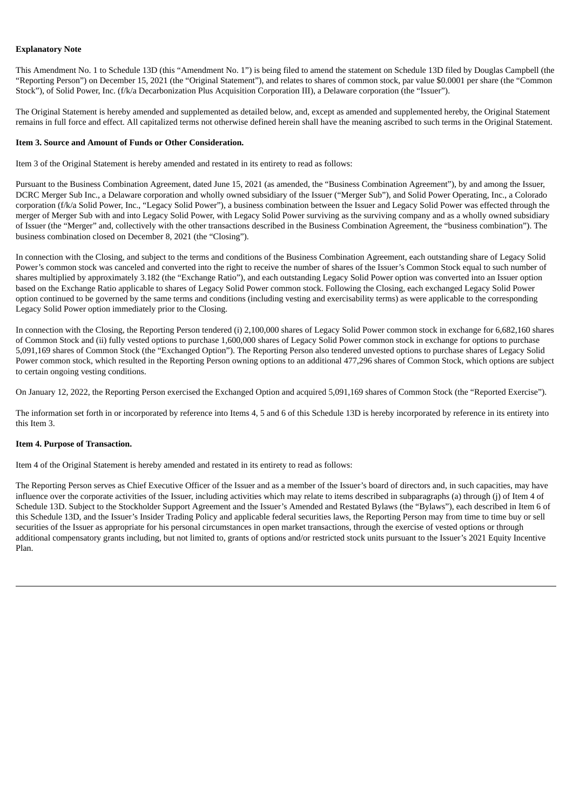#### **Explanatory Note**

This Amendment No. 1 to Schedule 13D (this "Amendment No. 1") is being filed to amend the statement on Schedule 13D filed by Douglas Campbell (the "Reporting Person") on December 15, 2021 (the "Original Statement"), and relates to shares of common stock, par value \$0.0001 per share (the "Common Stock"), of Solid Power, Inc. (f/k/a Decarbonization Plus Acquisition Corporation III), a Delaware corporation (the "Issuer").

The Original Statement is hereby amended and supplemented as detailed below, and, except as amended and supplemented hereby, the Original Statement remains in full force and effect. All capitalized terms not otherwise defined herein shall have the meaning ascribed to such terms in the Original Statement.

#### **Item 3. Source and Amount of Funds or Other Consideration.**

Item 3 of the Original Statement is hereby amended and restated in its entirety to read as follows:

Pursuant to the Business Combination Agreement, dated June 15, 2021 (as amended, the "Business Combination Agreement"), by and among the Issuer, DCRC Merger Sub Inc., a Delaware corporation and wholly owned subsidiary of the Issuer ("Merger Sub"), and Solid Power Operating, Inc., a Colorado corporation (f/k/a Solid Power, Inc., "Legacy Solid Power"), a business combination between the Issuer and Legacy Solid Power was effected through the merger of Merger Sub with and into Legacy Solid Power, with Legacy Solid Power surviving as the surviving company and as a wholly owned subsidiary of Issuer (the "Merger" and, collectively with the other transactions described in the Business Combination Agreement, the "business combination"). The business combination closed on December 8, 2021 (the "Closing").

In connection with the Closing, and subject to the terms and conditions of the Business Combination Agreement, each outstanding share of Legacy Solid Power's common stock was canceled and converted into the right to receive the number of shares of the Issuer's Common Stock equal to such number of shares multiplied by approximately 3.182 (the "Exchange Ratio"), and each outstanding Legacy Solid Power option was converted into an Issuer option based on the Exchange Ratio applicable to shares of Legacy Solid Power common stock. Following the Closing, each exchanged Legacy Solid Power option continued to be governed by the same terms and conditions (including vesting and exercisability terms) as were applicable to the corresponding Legacy Solid Power option immediately prior to the Closing.

In connection with the Closing, the Reporting Person tendered (i) 2,100,000 shares of Legacy Solid Power common stock in exchange for 6,682,160 shares of Common Stock and (ii) fully vested options to purchase 1,600,000 shares of Legacy Solid Power common stock in exchange for options to purchase 5,091,169 shares of Common Stock (the "Exchanged Option"). The Reporting Person also tendered unvested options to purchase shares of Legacy Solid Power common stock, which resulted in the Reporting Person owning options to an additional 477,296 shares of Common Stock, which options are subject to certain ongoing vesting conditions.

On January 12, 2022, the Reporting Person exercised the Exchanged Option and acquired 5,091,169 shares of Common Stock (the "Reported Exercise").

The information set forth in or incorporated by reference into Items 4, 5 and 6 of this Schedule 13D is hereby incorporated by reference in its entirety into this Item 3.

#### **Item 4. Purpose of Transaction.**

Item 4 of the Original Statement is hereby amended and restated in its entirety to read as follows:

The Reporting Person serves as Chief Executive Officer of the Issuer and as a member of the Issuer's board of directors and, in such capacities, may have influence over the corporate activities of the Issuer, including activities which may relate to items described in subparagraphs (a) through (j) of Item 4 of Schedule 13D. Subject to the Stockholder Support Agreement and the Issuer's Amended and Restated Bylaws (the "Bylaws"), each described in Item 6 of this Schedule 13D, and the Issuer's Insider Trading Policy and applicable federal securities laws, the Reporting Person may from time to time buy or sell securities of the Issuer as appropriate for his personal circumstances in open market transactions, through the exercise of vested options or through additional compensatory grants including, but not limited to, grants of options and/or restricted stock units pursuant to the Issuer's 2021 Equity Incentive Plan.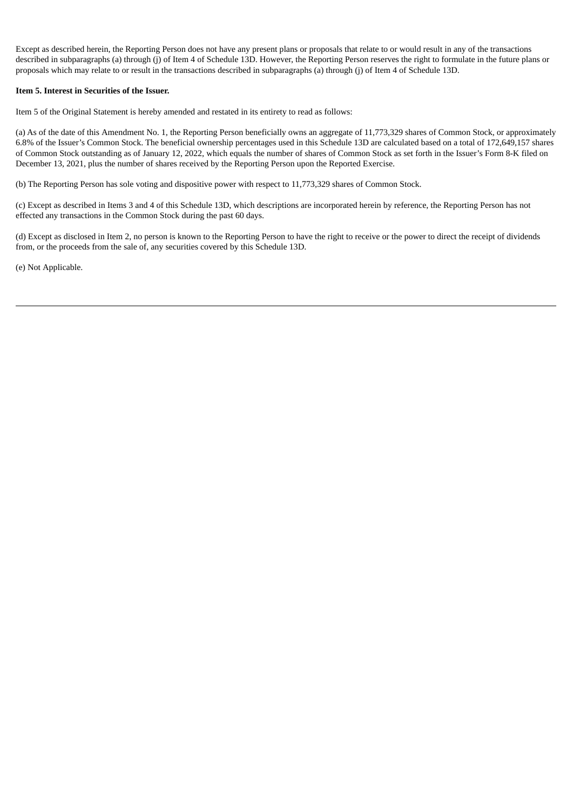Except as described herein, the Reporting Person does not have any present plans or proposals that relate to or would result in any of the transactions described in subparagraphs (a) through (j) of Item 4 of Schedule 13D. However, the Reporting Person reserves the right to formulate in the future plans or proposals which may relate to or result in the transactions described in subparagraphs (a) through (j) of Item 4 of Schedule 13D.

#### **Item 5. Interest in Securities of the Issuer.**

Item 5 of the Original Statement is hereby amended and restated in its entirety to read as follows:

(a) As of the date of this Amendment No. 1, the Reporting Person beneficially owns an aggregate of 11,773,329 shares of Common Stock, or approximately 6.8% of the Issuer's Common Stock. The beneficial ownership percentages used in this Schedule 13D are calculated based on a total of 172,649,157 shares of Common Stock outstanding as of January 12, 2022, which equals the number of shares of Common Stock as set forth in the Issuer's Form 8-K filed on December 13, 2021, plus the number of shares received by the Reporting Person upon the Reported Exercise.

(b) The Reporting Person has sole voting and dispositive power with respect to 11,773,329 shares of Common Stock.

(c) Except as described in Items 3 and 4 of this Schedule 13D, which descriptions are incorporated herein by reference, the Reporting Person has not effected any transactions in the Common Stock during the past 60 days.

(d) Except as disclosed in Item 2, no person is known to the Reporting Person to have the right to receive or the power to direct the receipt of dividends from, or the proceeds from the sale of, any securities covered by this Schedule 13D.

(e) Not Applicable.